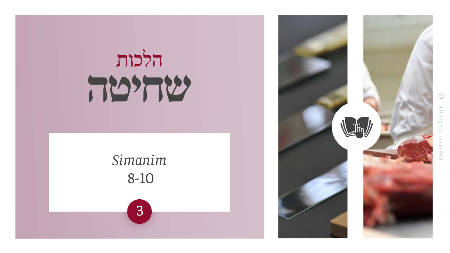# *Simanim* 8-10 3

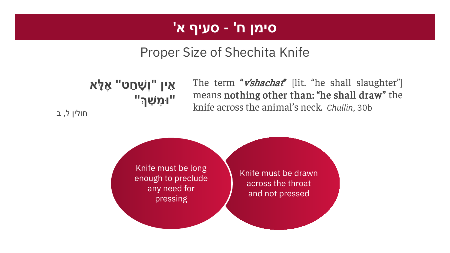# **סימן ח' - סעיף א'**

# Proper Size of Shechita Knife

**אֵ ין "וְשָׁ חַ ט" אֶ לָּ א "וּמָ שַׁ �"**

The term "*v'shachat*" [lit. "he shall slaughter"] means nothing other than: "he shall draw" the knife across the animal's neck. *Chullin*, 30b

חולין ל, ב

Knife must be drawn across the throat and not pressed Knife must be long enough to preclude any need for pressing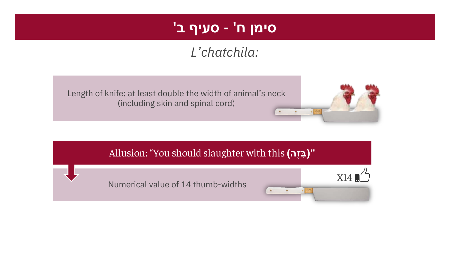# **סימן ח' - סעיף ב'**

# *L'chatchila:*





#### Allusion: "You should slaughter with this **(הֶז ָבּ"(**

Numerical value of 14 thumb-widths

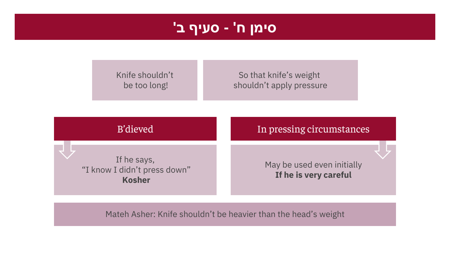### **סימן ח' - סעיף ב'**

Knife shouldn't be too long!

So that knife's weight shouldn't apply pressure

| B'dieved                                                     | In pressing circumstances                           |
|--------------------------------------------------------------|-----------------------------------------------------|
| If he says,<br>"I know I didn't press down"<br><b>Kosher</b> | May be used even initially<br>If he is very careful |

Mateh Asher: Knife shouldn't be heavier than the head's weight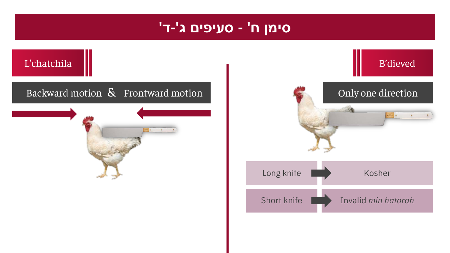#### **סימן ח' - סעיפים ג'-ד'**



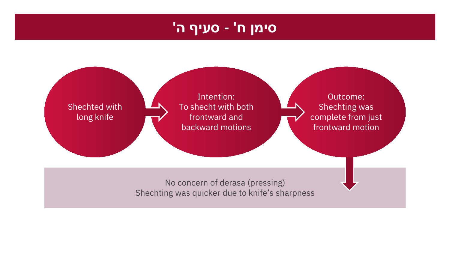#### **סימן ח' - סעיף ה'**

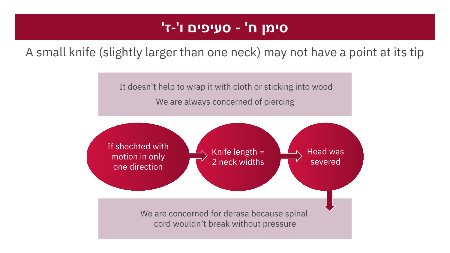# **סימן ח' - סעיפים ו'-ז'**

#### A small knife (slightly larger than one neck) may not have a point at its tip